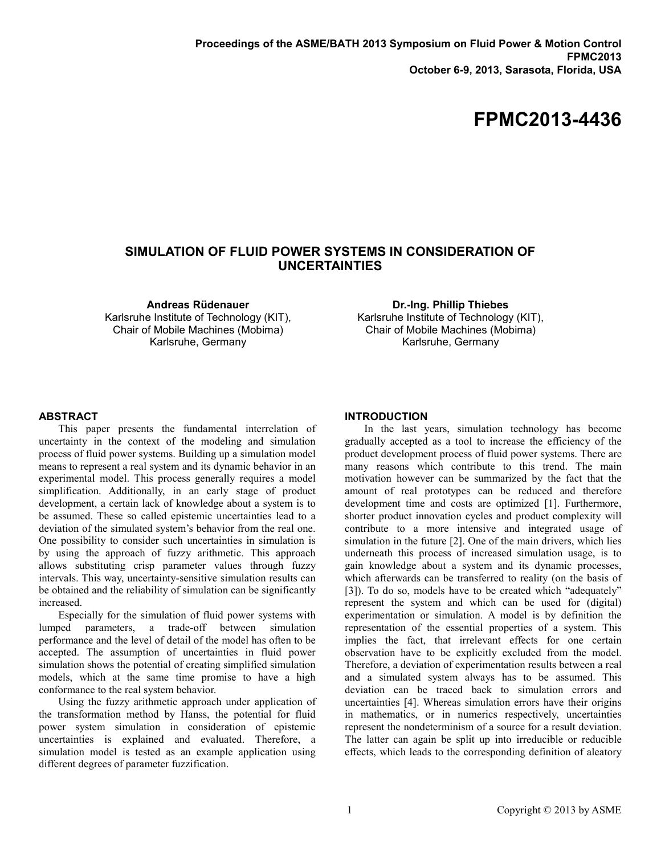# **FPMC2013-4436**

# **SIMULATION OF FLUID POWER SYSTEMS IN CONSIDERATION OF UNCERTAINTIES**

**Andreas Rüdenauer** Karlsruhe Institute of Technology (KIT), Chair of Mobile Machines (Mobima) Karlsruhe, Germany

**Dr.-Ing. Phillip Thiebes** Karlsruhe Institute of Technology (KIT), Chair of Mobile Machines (Mobima) Karlsruhe, Germany

#### **ABSTRACT**

This paper presents the fundamental interrelation of uncertainty in the context of the modeling and simulation process of fluid power systems. Building up a simulation model means to represent a real system and its dynamic behavior in an experimental model. This process generally requires a model simplification. Additionally, in an early stage of product development, a certain lack of knowledge about a system is to be assumed. These so called epistemic uncertainties lead to a deviation of the simulated system's behavior from the real one. One possibility to consider such uncertainties in simulation is by using the approach of fuzzy arithmetic. This approach allows substituting crisp parameter values through fuzzy intervals. This way, uncertainty-sensitive simulation results can be obtained and the reliability of simulation can be significantly increased.

Especially for the simulation of fluid power systems with lumped parameters, a trade-off between simulation performance and the level of detail of the model has often to be accepted. The assumption of uncertainties in fluid power simulation shows the potential of creating simplified simulation models, which at the same time promise to have a high conformance to the real system behavior.

Using the fuzzy arithmetic approach under application of the transformation method by Hanss, the potential for fluid power system simulation in consideration of epistemic uncertainties is explained and evaluated. Therefore, a simulation model is tested as an example application using different degrees of parameter fuzzification.

#### **INTRODUCTION**

In the last years, simulation technology has become gradually accepted as a tool to increase the efficiency of the product development process of fluid power systems. There are many reasons which contribute to this trend. The main motivation however can be summarized by the fact that the amount of real prototypes can be reduced and therefore development time and costs are optimized [\[1\]](#page-8-0). Furthermore, shorter product innovation cycles and product complexity will contribute to a more intensive and integrated usage of simulation in the future [\[2\]](#page-8-1). One of the main drivers, which lies underneath this process of increased simulation usage, is to gain knowledge about a system and its dynamic processes, which afterwards can be transferred to reality (on the basis of [\[3\]](#page-8-2)). To do so, models have to be created which "adequately" represent the system and which can be used for (digital) experimentation or simulation. A model is by definition the representation of the essential properties of a system. This implies the fact, that irrelevant effects for one certain observation have to be explicitly excluded from the model. Therefore, a deviation of experimentation results between a real and a simulated system always has to be assumed. This deviation can be traced back to simulation errors and uncertainties [\[4\]](#page-8-3). Whereas simulation errors have their origins in mathematics, or in numerics respectively, uncertainties represent the nondeterminism of a source for a result deviation. The latter can again be split up into irreducible or reducible effects, which leads to the corresponding definition of aleatory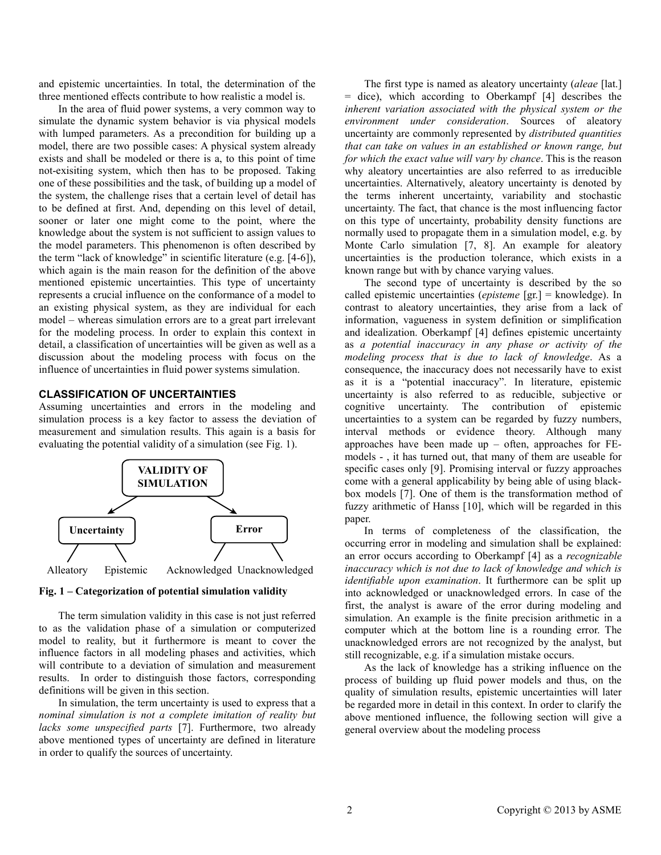and epistemic uncertainties. In total, the determination of the three mentioned effects contribute to how realistic a model is.

In the area of fluid power systems, a very common way to simulate the dynamic system behavior is via physical models with lumped parameters. As a precondition for building up a model, there are two possible cases: A physical system already exists and shall be modeled or there is a, to this point of time not-exisiting system, which then has to be proposed. Taking one of these possibilities and the task, of building up a model of the system, the challenge rises that a certain level of detail has to be defined at first. And, depending on this level of detail, sooner or later one might come to the point, where the knowledge about the system is not sufficient to assign values to the model parameters. This phenomenon is often described by the term "lack of knowledge" in scientific literature (e.g. [\[4-6\]](#page-8-3)), which again is the main reason for the definition of the above mentioned epistemic uncertainties. This type of uncertainty represents a crucial influence on the conformance of a model to an existing physical system, as they are individual for each model – whereas simulation errors are to a great part irrelevant for the modeling process. In order to explain this context in detail, a classification of uncertainties will be given as well as a discussion about the modeling process with focus on the influence of uncertainties in fluid power systems simulation.

## **CLASSIFICATION OF UNCERTAINTIES**

Assuming uncertainties and errors in the modeling and simulation process is a key factor to assess the deviation of measurement and simulation results. This again is a basis for evaluating the potential validity of a simulation (see [Fig. 1\)](#page-1-0).



<span id="page-1-0"></span>**Fig. 1 – Categorization of potential simulation validity**

The term simulation validity in this case is not just referred to as the validation phase of a simulation or computerized model to reality, but it furthermore is meant to cover the influence factors in all modeling phases and activities, which will contribute to a deviation of simulation and measurement results. In order to distinguish those factors, corresponding definitions will be given in this section.

In simulation, the term uncertainty is used to express that a *nominal simulation is not a complete imitation of reality but lacks some unspecified parts* [\[7\]](#page-8-4). Furthermore, two already above mentioned types of uncertainty are defined in literature in order to qualify the sources of uncertainty.

The first type is named as aleatory uncertainty (*aleae* [lat.] = dice), which according to Oberkampf [\[4\]](#page-8-3) describes the *inherent variation associated with the physical system or the environment under consideration*. Sources of aleatory uncertainty are commonly represented by *distributed quantities that can take on values in an established or known range, but for which the exact value will vary by chance*. This is the reason why aleatory uncertainties are also referred to as irreducible uncertainties. Alternatively, aleatory uncertainty is denoted by the terms inherent uncertainty, variability and stochastic uncertainty. The fact, that chance is the most influencing factor on this type of uncertainty, probability density functions are normally used to propagate them in a simulation model, e.g. by Monte Carlo simulation [\[7,](#page-8-4) [8\]](#page-8-5). An example for aleatory uncertainties is the production tolerance, which exists in a known range but with by chance varying values.

The second type of uncertainty is described by the so called epistemic uncertainties (*episteme* [gr.] = knowledge). In contrast to aleatory uncertainties, they arise from a lack of information, vagueness in system definition or simplification and idealization. Oberkampf [\[4\]](#page-8-3) defines epistemic uncertainty as *a potential inaccuracy in any phase or activity of the modeling process that is due to lack of knowledge*. As a consequence, the inaccuracy does not necessarily have to exist as it is a "potential inaccuracy". In literature, epistemic uncertainty is also referred to as reducible, subjective or cognitive uncertainty. The contribution of epistemic uncertainties to a system can be regarded by fuzzy numbers, interval methods or evidence theory. Although many approaches have been made up – often, approaches for FEmodels - , it has turned out, that many of them are useable for specific cases only [\[9\]](#page-8-6). Promising interval or fuzzy approaches come with a general applicability by being able of using blackbox models [\[7\]](#page-8-4). One of them is the transformation method of fuzzy arithmetic of Hanss [\[10\]](#page-8-7), which will be regarded in this paper.

In terms of completeness of the classification, the occurring error in modeling and simulation shall be explained: an error occurs according to Oberkampf [\[4\]](#page-8-3) as a *recognizable inaccuracy which is not due to lack of knowledge and which is identifiable upon examination*. It furthermore can be split up into acknowledged or unacknowledged errors. In case of the first, the analyst is aware of the error during modeling and simulation. An example is the finite precision arithmetic in a computer which at the bottom line is a rounding error. The unacknowledged errors are not recognized by the analyst, but still recognizable, e.g. if a simulation mistake occurs.

As the lack of knowledge has a striking influence on the process of building up fluid power models and thus, on the quality of simulation results, epistemic uncertainties will later be regarded more in detail in this context. In order to clarify the above mentioned influence, the following section will give a general overview about the modeling process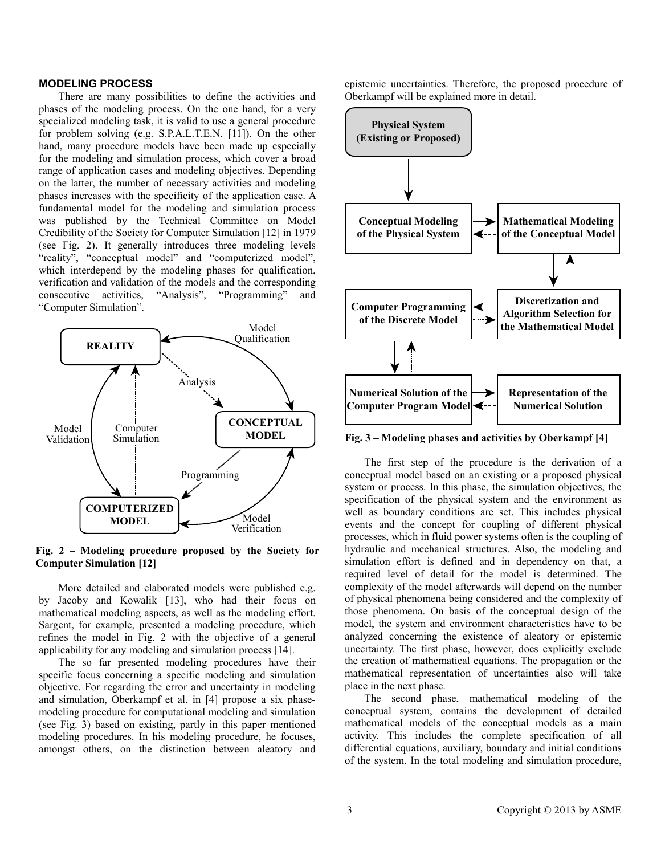## **MODELING PROCESS**

There are many possibilities to define the activities and phases of the modeling process. On the one hand, for a very specialized modeling task, it is valid to use a general procedure for problem solving (e.g. S.P.A.L.T.E.N. [\[11\]](#page-8-8)). On the other hand, many procedure models have been made up especially for the modeling and simulation process, which cover a broad range of application cases and modeling objectives. Depending on the latter, the number of necessary activities and modeling phases increases with the specificity of the application case. A fundamental model for the modeling and simulation process was published by the Technical Committee on Model Credibility of the Society for Computer Simulation [\[12\]](#page-8-9) in 1979 (see [Fig. 2\)](#page-2-0). It generally introduces three modeling levels "reality", "conceptual model" and "computerized model", which interdepend by the modeling phases for qualification, verification and validation of the models and the corresponding consecutive activities, "Analysis", "Programming" and "Computer Simulation".



<span id="page-2-0"></span>**Fig. 2 – Modeling procedure proposed by the Society for Computer Simulation [\[12\]](#page-8-9)** 

More detailed and elaborated models were published e.g. by Jacoby and Kowalik [\[13\]](#page-8-10), who had their focus on mathematical modeling aspects, as well as the modeling effort. Sargent, for example, presented a modeling procedure, which refines the model in [Fig. 2](#page-2-0) with the objective of a general applicability for any modeling and simulation process [\[14\]](#page-8-11).

The so far presented modeling procedures have their specific focus concerning a specific modeling and simulation objective. For regarding the error and uncertainty in modeling and simulation, Oberkampf et al. in [\[4\]](#page-8-3) propose a six phasemodeling procedure for computational modeling and simulation (see [Fig. 3\)](#page-2-1) based on existing, partly in this paper mentioned modeling procedures. In his modeling procedure, he focuses, amongst others, on the distinction between aleatory and

epistemic uncertainties. Therefore, the proposed procedure of Oberkampf will be explained more in detail.



<span id="page-2-1"></span>**Fig. 3 – Modeling phases and activities by Oberkampf [\[4\]](#page-8-3)** 

The first step of the procedure is the derivation of a conceptual model based on an existing or a proposed physical system or process. In this phase, the simulation objectives, the specification of the physical system and the environment as well as boundary conditions are set. This includes physical events and the concept for coupling of different physical processes, which in fluid power systems often is the coupling of hydraulic and mechanical structures. Also, the modeling and simulation effort is defined and in dependency on that, a required level of detail for the model is determined. The complexity of the model afterwards will depend on the number of physical phenomena being considered and the complexity of those phenomena. On basis of the conceptual design of the model, the system and environment characteristics have to be analyzed concerning the existence of aleatory or epistemic uncertainty. The first phase, however, does explicitly exclude the creation of mathematical equations. The propagation or the mathematical representation of uncertainties also will take place in the next phase.

The second phase, mathematical modeling of the conceptual system, contains the development of detailed mathematical models of the conceptual models as a main activity. This includes the complete specification of all differential equations, auxiliary, boundary and initial conditions of the system. In the total modeling and simulation procedure,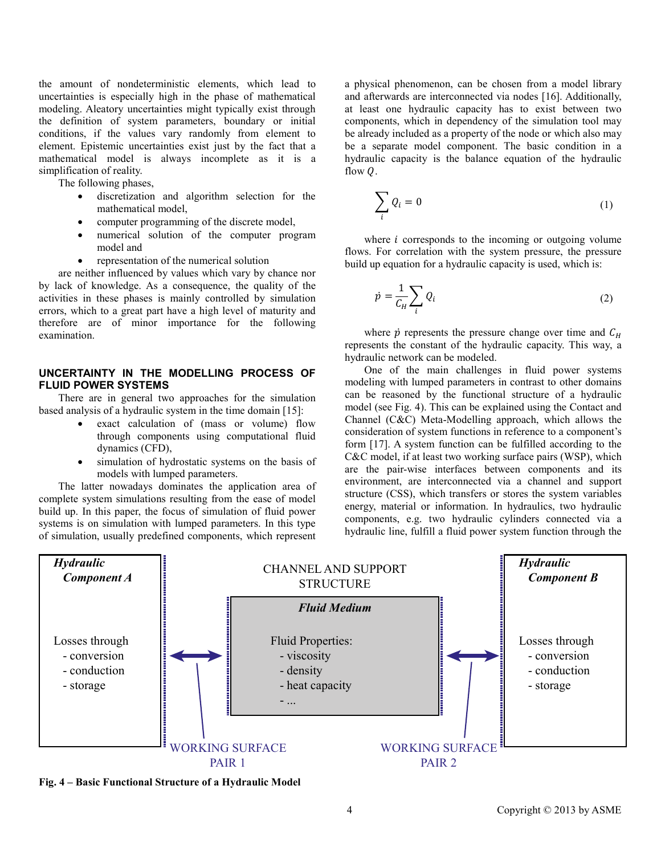the amount of nondeterministic elements, which lead to uncertainties is especially high in the phase of mathematical modeling. Aleatory uncertainties might typically exist through the definition of system parameters, boundary or initial conditions, if the values vary randomly from element to element. Epistemic uncertainties exist just by the fact that a mathematical model is always incomplete as it is a simplification of reality.

The following phases,

- discretization and algorithm selection for the mathematical model,
- computer programming of the discrete model,
- numerical solution of the computer program model and
- representation of the numerical solution

are neither influenced by values which vary by chance nor by lack of knowledge. As a consequence, the quality of the activities in these phases is mainly controlled by simulation errors, which to a great part have a high level of maturity and therefore are of minor importance for the following examination.

## **UNCERTAINTY IN THE MODELLING PROCESS OF FLUID POWER SYSTEMS**

There are in general two approaches for the simulation based analysis of a hydraulic system in the time domain [\[15\]](#page-8-12):

- exact calculation of (mass or volume) flow through components using computational fluid dynamics (CFD),
- simulation of hydrostatic systems on the basis of models with lumped parameters.

The latter nowadays dominates the application area of complete system simulations resulting from the ease of model build up. In this paper, the focus of simulation of fluid power systems is on simulation with lumped parameters. In this type of simulation, usually predefined components, which represent

a physical phenomenon, can be chosen from a model library and afterwards are interconnected via nodes [\[16\]](#page-8-13). Additionally, at least one hydraulic capacity has to exist between two components, which in dependency of the simulation tool may be already included as a property of the node or which also may be a separate model component. The basic condition in a hydraulic capacity is the balance equation of the hydraulic flow  $\theta$ .

$$
\sum_{i} Q_i = 0 \tag{1}
$$

where  $i$  corresponds to the incoming or outgoing volume flows. For correlation with the system pressure, the pressure build up equation for a hydraulic capacity is used, which is:

$$
\dot{p} = \frac{1}{C_H} \sum_i Q_i \tag{2}
$$

where  $\dot{p}$  represents the pressure change over time and  $C_H$ represents the constant of the hydraulic capacity. This way, a hydraulic network can be modeled.

One of the main challenges in fluid power systems modeling with lumped parameters in contrast to other domains can be reasoned by the functional structure of a hydraulic model (see [Fig. 4\)](#page-3-0). This can be explained using the Contact and Channel (C&C) Meta-Modelling approach, which allows the consideration of system functions in reference to a component's form [\[17\]](#page-8-14). A system function can be fulfilled according to the C&C model, if at least two working surface pairs (WSP), which are the pair-wise interfaces between components and its environment, are interconnected via a channel and support structure (CSS), which transfers or stores the system variables energy, material or information. In hydraulics, two hydraulic components, e.g. two hydraulic cylinders connected via a hydraulic line, fulfill a fluid power system function through the



<span id="page-3-0"></span>**Fig. 4 – Basic Functional Structure of a Hydraulic Model**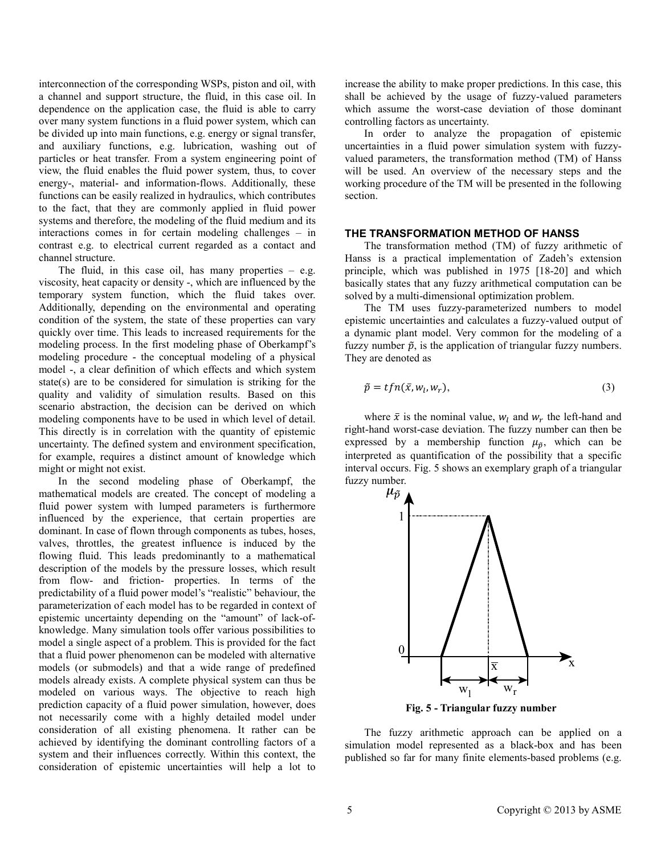interconnection of the corresponding WSPs, piston and oil, with a channel and support structure, the fluid, in this case oil. In dependence on the application case, the fluid is able to carry over many system functions in a fluid power system, which can be divided up into main functions, e.g. energy or signal transfer, and auxiliary functions, e.g. lubrication, washing out of particles or heat transfer. From a system engineering point of view, the fluid enables the fluid power system, thus, to cover energy-, material- and information-flows. Additionally, these functions can be easily realized in hydraulics, which contributes to the fact, that they are commonly applied in fluid power systems and therefore, the modeling of the fluid medium and its interactions comes in for certain modeling challenges – in contrast e.g. to electrical current regarded as a contact and channel structure.

The fluid, in this case oil, has many properties  $-$  e.g. viscosity, heat capacity or density -, which are influenced by the temporary system function, which the fluid takes over. Additionally, depending on the environmental and operating condition of the system, the state of these properties can vary quickly over time. This leads to increased requirements for the modeling process. In the first modeling phase of Oberkampf's modeling procedure - the conceptual modeling of a physical model -, a clear definition of which effects and which system state(s) are to be considered for simulation is striking for the quality and validity of simulation results. Based on this scenario abstraction, the decision can be derived on which modeling components have to be used in which level of detail. This directly is in correlation with the quantity of epistemic uncertainty. The defined system and environment specification, for example, requires a distinct amount of knowledge which might or might not exist.

In the second modeling phase of Oberkampf, the mathematical models are created. The concept of modeling a fluid power system with lumped parameters is furthermore influenced by the experience, that certain properties are dominant. In case of flown through components as tubes, hoses, valves, throttles, the greatest influence is induced by the flowing fluid. This leads predominantly to a mathematical description of the models by the pressure losses, which result from flow- and friction- properties. In terms of the predictability of a fluid power model's "realistic" behaviour, the parameterization of each model has to be regarded in context of epistemic uncertainty depending on the "amount" of lack-ofknowledge. Many simulation tools offer various possibilities to model a single aspect of a problem. This is provided for the fact that a fluid power phenomenon can be modeled with alternative models (or submodels) and that a wide range of predefined models already exists. A complete physical system can thus be modeled on various ways. The objective to reach high prediction capacity of a fluid power simulation, however, does not necessarily come with a highly detailed model under consideration of all existing phenomena. It rather can be achieved by identifying the dominant controlling factors of a system and their influences correctly. Within this context, the consideration of epistemic uncertainties will help a lot to

increase the ability to make proper predictions. In this case, this shall be achieved by the usage of fuzzy-valued parameters which assume the worst-case deviation of those dominant controlling factors as uncertainty.

In order to analyze the propagation of epistemic uncertainties in a fluid power simulation system with fuzzyvalued parameters, the transformation method (TM) of Hanss will be used. An overview of the necessary steps and the working procedure of the TM will be presented in the following section.

#### **THE TRANSFORMATION METHOD OF HANSS**

The transformation method (TM) of fuzzy arithmetic of Hanss is a practical implementation of Zadeh's extension principle, which was published in 1975 [\[18-20\]](#page-8-15) and which basically states that any fuzzy arithmetical computation can be solved by a multi-dimensional optimization problem.

The TM uses fuzzy-parameterized numbers to model epistemic uncertainties and calculates a fuzzy-valued output of a dynamic plant model. Very common for the modeling of a fuzzy number  $\tilde{p}$ , is the application of triangular fuzzy numbers. They are denoted as

$$
\tilde{p} = t f n(\bar{x}, w_l, w_r), \tag{3}
$$

where  $\bar{x}$  is the nominal value,  $w_l$  and  $w_r$  the left-hand and right-hand worst-case deviation. The fuzzy number can then be expressed by a membership function  $\mu_{\tilde{p}}$ , which can be interpreted as quantification of the possibility that a specific interval occurs[. Fig. 5](#page-4-0) shows an exemplary graph of a triangular fuzzy number.



**Fig. 5 - Triangular fuzzy number**

<span id="page-4-0"></span>The fuzzy arithmetic approach can be applied on a simulation model represented as a black-box and has been published so far for many finite elements-based problems (e.g.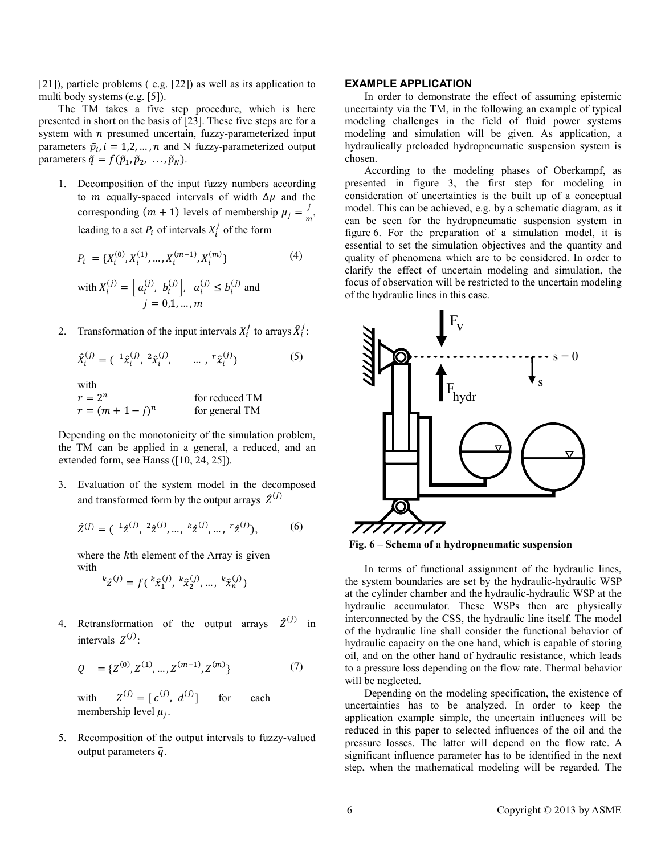[\[21\]](#page-9-0)), particle problems ( e.g. [\[22\]](#page-9-1)) as well as its application to multi body systems (e.g. [\[5\]](#page-8-16)).

The TM takes a five step procedure, which is here presented in short on the basis of [\[23\]](#page-9-2). These five steps are for a system with  $n$  presumed uncertain, fuzzy-parameterized input parameters  $\tilde{p}_i$ ,  $i = 1, 2, ..., n$  and N fuzzy-parameterized output parameters  $\tilde{q} = f(\tilde{p}_1, \tilde{p}_2, \ldots, \tilde{p}_N)$ .

1. Decomposition of the input fuzzy numbers according to *m* equally-spaced intervals of width  $\Delta \mu$  and the corresponding  $(m + 1)$  levels of membership  $\mu_j = \frac{1}{m}$ , leading to a set  $P_i$  of intervals  $X_i^j$  of the form

$$
P_i = \{X_i^{(0)}, X_i^{(1)}, \dots, X_i^{(m-1)}, X_i^{(m)}\}
$$
\n
$$
\text{with } X_i^{(j)} = \left[a_i^{(j)}, b_i^{(j)}\right], \ a_i^{(j)} \le b_i^{(j)} \text{ and}
$$
\n
$$
(4)
$$

$$
j = 0, 1, ..., m
$$
  
2. Transformation of the input intervals  $X_i^j$  to arrays  $\hat{X}_i$ 

$$
\hat{X}_i^{(j)} = ({}^{-1} \hat{x}_i^{(j)}, {}^{2} \hat{x}_i^{(j)}, \qquad \dots , {}^{r} \hat{x}_i^{(j)})
$$
(5)

).<br>i

with

| $r=2^n$             | for reduced TM |
|---------------------|----------------|
| $r = (m + 1 - j)^n$ | for general TM |

Depending on the monotonicity of the simulation problem, the TM can be applied in a general, a reduced, and an extended form, see Hanss ([\[10,](#page-8-7) [24,](#page-9-3) [25\]](#page-9-4)).

3. Evaluation of the system model in the decomposed and transformed form by the output arrays  $\hat{Z}^{(j)}$ 

$$
\hat{Z}^{(j)} = ({}^{1}\hat{z}^{(j)}, {}^{2}\hat{z}^{(j)}, ..., {}^{k}\hat{z}^{(j)}, ..., {}^{r}\hat{z}^{(j)}),
$$
 (6)

where the  $k$ <sup>th</sup> element of the Array is given with

$$
{}^k\hat{z}^{(j)}=f(\,{}^k\hat{x}_1^{(j)},\,{}^k\hat{x}_2^{(j)},\ldots,\,{}^k\hat{x}_n^{(j)})
$$

Retransformation of the output arrays  $\hat{Z}^{(j)}$  in intervals  $Z^{(j)}$ :

$$
Q = \{Z^{(0)}, Z^{(1)}, \dots, Z^{(m-1)}, Z^{(m)}\}
$$
 (7)

with  $Z^{(j)} = [c^{(j)}, d^{(j)}]$ for each membership level  $\mu_i$ .

5. Recomposition of the output intervals to fuzzy-valued output parameters  $\tilde{q}$ .

## **EXAMPLE APPLICATION**

In order to demonstrate the effect of assuming epistemic uncertainty via the TM, in the following an example of typical modeling challenges in the field of fluid power systems modeling and simulation will be given. As application, a hydraulically preloaded hydropneumatic suspension system is chosen.

According to the modeling phases of Oberkampf, as presented in [figure 3,](#page-2-1) the first step for modeling in consideration of uncertainties is the built up of a conceptual model. This can be achieved, e.g. by a schematic diagram, as it can be seen for the hydropneumatic suspension system in [figure 6.](#page-5-0) For the preparation of a simulation model, it is essential to set the simulation objectives and the quantity and quality of phenomena which are to be considered. In order to clarify the effect of uncertain modeling and simulation, the focus of observation will be restricted to the uncertain modeling of the hydraulic lines in this case.



<span id="page-5-0"></span>**Fig. 6 – Schema of a hydropneumatic suspension**

In terms of functional assignment of the hydraulic lines, the system boundaries are set by the hydraulic-hydraulic WSP at the cylinder chamber and the hydraulic-hydraulic WSP at the hydraulic accumulator. These WSPs then are physically interconnected by the CSS, the hydraulic line itself. The model of the hydraulic line shall consider the functional behavior of hydraulic capacity on the one hand, which is capable of storing oil, and on the other hand of hydraulic resistance, which leads to a pressure loss depending on the flow rate. Thermal behavior will be neglected.

Depending on the modeling specification, the existence of uncertainties has to be analyzed. In order to keep the application example simple, the uncertain influences will be reduced in this paper to selected influences of the oil and the pressure losses. The latter will depend on the flow rate. A significant influence parameter has to be identified in the next step, when the mathematical modeling will be regarded. The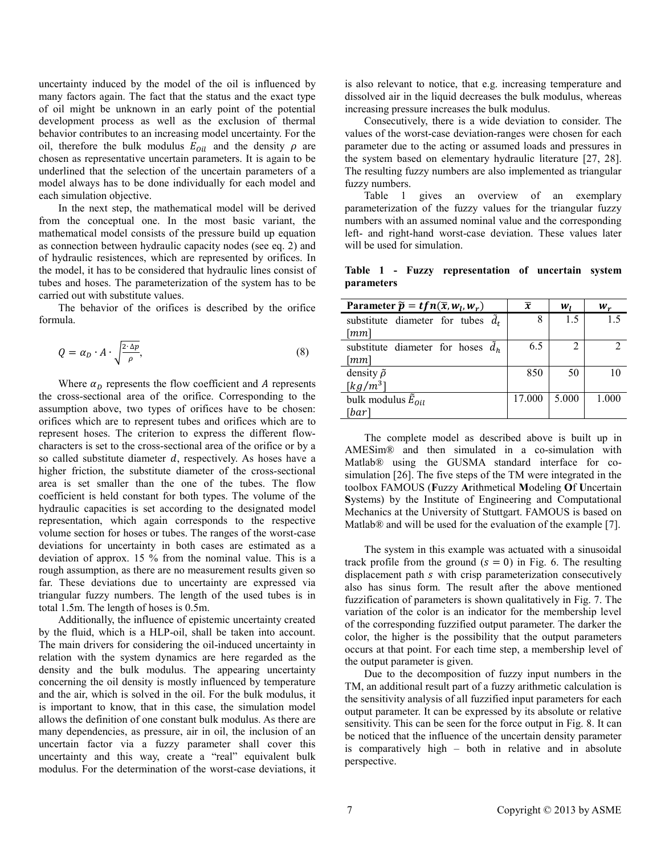uncertainty induced by the model of the oil is influenced by many factors again. The fact that the status and the exact type of oil might be unknown in an early point of the potential development process as well as the exclusion of thermal behavior contributes to an increasing model uncertainty. For the oil, therefore the bulk modulus  $E_{oil}$  and the density  $\rho$  are chosen as representative uncertain parameters. It is again to be underlined that the selection of the uncertain parameters of a model always has to be done individually for each model and each simulation objective.

In the next step, the mathematical model will be derived from the conceptual one. In the most basic variant, the mathematical model consists of the pressure build up equation as connection between hydraulic capacity nodes (see eq. 2) and of hydraulic resistences, which are represented by orifices. In the model, it has to be considered that hydraulic lines consist of tubes and hoses. The parameterization of the system has to be carried out with substitute values.

The behavior of the orifices is described by the orifice formula.

$$
Q = \alpha_D \cdot A \cdot \sqrt{\frac{2 \cdot \Delta p}{\rho}},\tag{8}
$$

Where  $\alpha_{\rm D}$  represents the flow coefficient and A represents the cross-sectional area of the orifice. Corresponding to the assumption above, two types of orifices have to be chosen: orifices which are to represent tubes and orifices which are to represent hoses. The criterion to express the different flowcharacters is set to the cross-sectional area of the orifice or by a so called substitute diameter  $d$ , respectively. As hoses have a higher friction, the substitute diameter of the cross-sectional area is set smaller than the one of the tubes. The flow coefficient is held constant for both types. The volume of the hydraulic capacities is set according to the designated model representation, which again corresponds to the respective volume section for hoses or tubes. The ranges of the worst-case deviations for uncertainty in both cases are estimated as a deviation of approx. 15 % from the nominal value. This is a rough assumption, as there are no measurement results given so far. These deviations due to uncertainty are expressed via triangular fuzzy numbers. The length of the used tubes is in total 1.5m. The length of hoses is 0.5m.

Additionally, the influence of epistemic uncertainty created by the fluid, which is a HLP-oil, shall be taken into account. The main drivers for considering the oil-induced uncertainty in relation with the system dynamics are here regarded as the density and the bulk modulus. The appearing uncertainty concerning the oil density is mostly influenced by temperature and the air, which is solved in the oil. For the bulk modulus, it is important to know, that in this case, the simulation model allows the definition of one constant bulk modulus. As there are many dependencies, as pressure, air in oil, the inclusion of an uncertain factor via a fuzzy parameter shall cover this uncertainty and this way, create a "real" equivalent bulk modulus. For the determination of the worst-case deviations, it is also relevant to notice, that e.g. increasing temperature and dissolved air in the liquid decreases the bulk modulus, whereas increasing pressure increases the bulk modulus.

Consecutively, there is a wide deviation to consider. The values of the worst-case deviation-ranges were chosen for each parameter due to the acting or assumed loads and pressures in the system based on elementary hydraulic literature [\[27,](#page-9-5) [28\]](#page-9-6). The resulting fuzzy numbers are also implemented as triangular fuzzy numbers.

[Table 1](#page-6-0) gives an overview of an exemplary parameterization of the fuzzy values for the triangular fuzzy numbers with an assumed nominal value and the corresponding left- and right-hand worst-case deviation. These values later will be used for simulation.

<span id="page-6-0"></span>**Table 1 - Fuzzy representation of uncertain system parameters**

| Parameter $\widetilde{p} = tfn(\overline{x}, w_l, w_r)$ | $\overline{x}$ | $W_I$ | $W_r$ |
|---------------------------------------------------------|----------------|-------|-------|
| substitute diameter for tubes $\tilde{d}_t$             | 8              | 1.5   | 15    |
| $\lceil mm \rceil$                                      |                |       |       |
| substitute diameter for hoses $\tilde{d}_h$             | 6.5            | 2     |       |
| $\lceil mm \rceil$                                      |                |       |       |
| density $\tilde{\rho}$                                  | 850            | 50    | 10    |
| $\left[kg/m^3\right]$                                   |                |       |       |
| bulk modulus $\tilde{E}_{0il}$                          | 17.000         | 5.000 | 1.000 |
| [bar]                                                   |                |       |       |

The complete model as described above is built up in AMESim® and then simulated in a co-simulation with Matlab® using the GUSMA standard interface for cosimulation [\[26\]](#page-9-7). The five steps of the TM were integrated in the toolbox FAMOUS (**F**uzzy **A**rithmetical **M**odeling **O**f **U**ncertain **S**ystems) by the Institute of Engineering and Computational Mechanics at the University of Stuttgart. FAMOUS is based on Matlab® and will be used for the evaluation of the example [\[7\]](#page-8-4).

The system in this example was actuated with a sinusoidal track profile from the ground  $(s = 0)$  in [Fig. 6.](#page-5-0) The resulting displacement path *s* with crisp parameterization consecutively also has sinus form. The result after the above mentioned fuzzification of parameters is shown qualitatively in [Fig. 7.](#page-7-0) The variation of the color is an indicator for the membership level of the corresponding fuzzified output parameter. The darker the color, the higher is the possibility that the output parameters occurs at that point. For each time step, a membership level of the output parameter is given.

Due to the decomposition of fuzzy input numbers in the TM, an additional result part of a fuzzy arithmetic calculation is the sensitivity analysis of all fuzzified input parameters for each output parameter. It can be expressed by its absolute or relative sensitivity. This can be seen for the force output in [Fig. 8.](#page-7-1) It can be noticed that the influence of the uncertain density parameter is comparatively high – both in relative and in absolute perspective.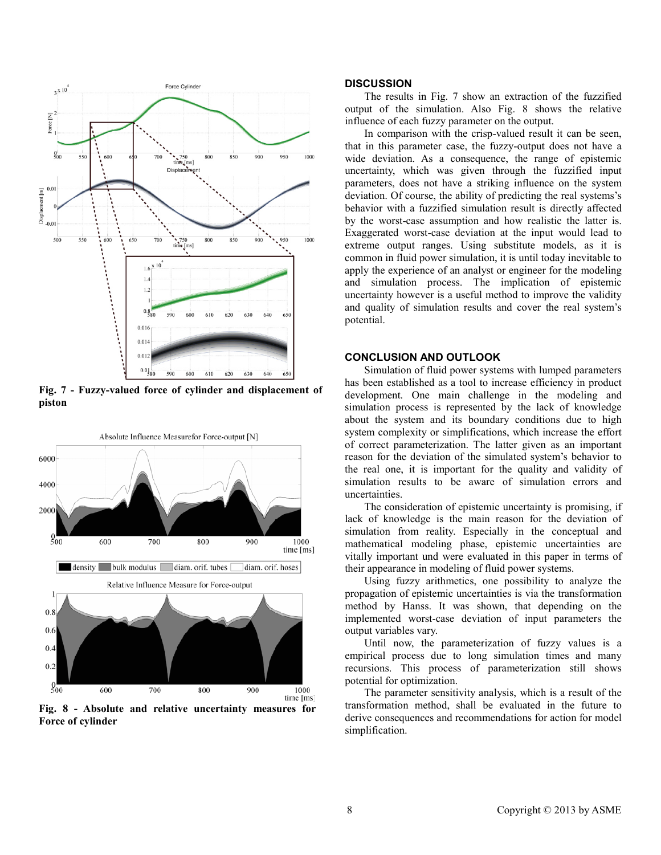

<span id="page-7-0"></span>**Fig. 7 - Fuzzy-valued force of cylinder and displacement of piston**



<span id="page-7-1"></span>**Fig. 8 - Absolute and relative uncertainty measures for Force of cylinder**

## **DISCUSSION**

The results in [Fig. 7](#page-7-0) show an extraction of the fuzzified output of the simulation. Also [Fig. 8](#page-7-1) shows the relative influence of each fuzzy parameter on the output.

In comparison with the crisp-valued result it can be seen, that in this parameter case, the fuzzy-output does not have a wide deviation. As a consequence, the range of epistemic uncertainty, which was given through the fuzzified input parameters, does not have a striking influence on the system deviation. Of course, the ability of predicting the real systems's behavior with a fuzzified simulation result is directly affected by the worst-case assumption and how realistic the latter is. Exaggerated worst-case deviation at the input would lead to extreme output ranges. Using substitute models, as it is common in fluid power simulation, it is until today inevitable to apply the experience of an analyst or engineer for the modeling and simulation process. The implication of epistemic uncertainty however is a useful method to improve the validity and quality of simulation results and cover the real system's potential.

## **CONCLUSION AND OUTLOOK**

Simulation of fluid power systems with lumped parameters has been established as a tool to increase efficiency in product development. One main challenge in the modeling and simulation process is represented by the lack of knowledge about the system and its boundary conditions due to high system complexity or simplifications, which increase the effort of correct parameterization. The latter given as an important reason for the deviation of the simulated system's behavior to the real one, it is important for the quality and validity of simulation results to be aware of simulation errors and uncertainties.

The consideration of epistemic uncertainty is promising, if lack of knowledge is the main reason for the deviation of simulation from reality. Especially in the conceptual and mathematical modeling phase, epistemic uncertainties are vitally important und were evaluated in this paper in terms of their appearance in modeling of fluid power systems.

Using fuzzy arithmetics, one possibility to analyze the propagation of epistemic uncertainties is via the transformation method by Hanss. It was shown, that depending on the implemented worst-case deviation of input parameters the output variables vary.

Until now, the parameterization of fuzzy values is a empirical process due to long simulation times and many recursions. This process of parameterization still shows potential for optimization.

The parameter sensitivity analysis, which is a result of the transformation method, shall be evaluated in the future to derive consequences and recommendations for action for model simplification.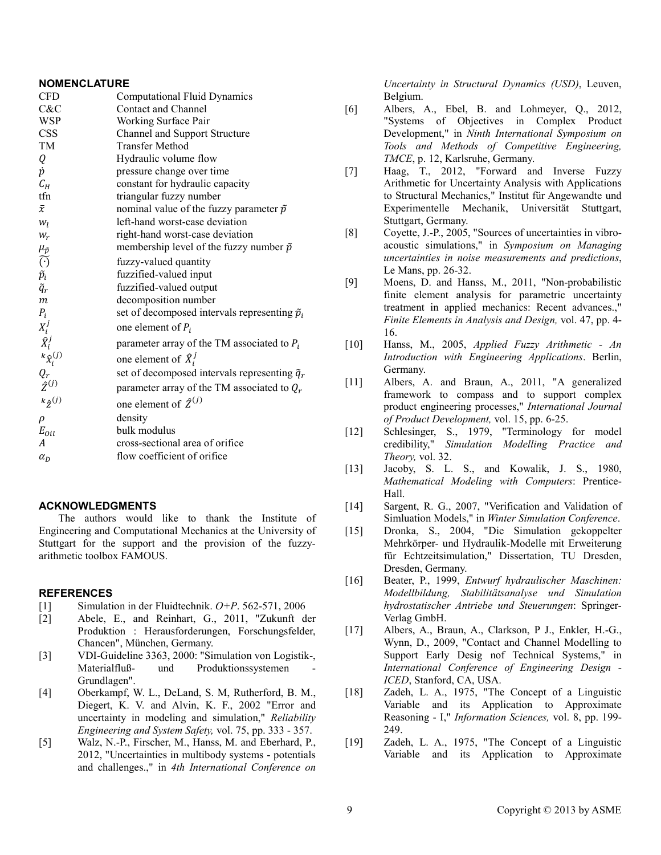## **NOMENCLATURE**

| <b>CFD</b>                                  | <b>Computational Fluid Dynamics</b>                    |
|---------------------------------------------|--------------------------------------------------------|
| C&C                                         | <b>Contact and Channel</b>                             |
| <b>WSP</b>                                  | Working Surface Pair                                   |
| CSS                                         | Channel and Support Structure                          |
| TM                                          | <b>Transfer Method</b>                                 |
| Q                                           | Hydraulic volume flow                                  |
| $\dot{p}$                                   | pressure change over time                              |
| $C_H$                                       | constant for hydraulic capacity                        |
| tfn                                         | triangular fuzzy number                                |
| $\bar{\chi}$                                | nominal value of the fuzzy parameter $\tilde{p}$       |
| $W_I$                                       | left-hand worst-case deviation                         |
| $W_r$                                       | right-hand worst-case deviation                        |
|                                             | membership level of the fuzzy number $\tilde{p}$       |
| $\frac{\mu_{\tilde{p}}}{\tilde{(\cdot)}}$   | fuzzy-valued quantity                                  |
|                                             | fuzzified-valued input                                 |
| $\tilde{\tilde{p}_i}$ $\tilde{\tilde{q}}_r$ | fuzzified-valued output                                |
| $\boldsymbol{m}$                            | decomposition number                                   |
| $P_i$                                       | set of decomposed intervals representing $\tilde{p}_i$ |
| $X_i^j$                                     | one element of $P_i$                                   |
| $\tilde{X}_i^j$<br>$k_{\hat{X}_i}^{(j)}$    | parameter array of the TM associated to $P_i$          |
|                                             | one element of $\hat{X}_i^j$                           |
|                                             | set of decomposed intervals representing $\tilde{q}_r$ |
| $\frac{Q_r}{\hat{Z}^{(j)}}$                 | parameter array of the TM associated to $Q_r$          |
| $k_{\hat{Z}}(j)$                            | one element of $\hat{Z}^{(j)}$                         |
| $\rho$                                      | density                                                |
| $E_{oil}$                                   | bulk modulus                                           |
| A                                           | cross-sectional area of orifice                        |
| $\alpha_D$                                  | flow coefficient of orifice                            |
|                                             |                                                        |

# **ACKNOWLEDGMENTS**

The authors would like to thank the Institute of Engineering and Computational Mechanics at the University of Stuttgart for the support and the provision of the fuzzyarithmetic toolbox FAMOUS.

#### **REFERENCES**

- <span id="page-8-0"></span>[1] Simulation in der Fluidtechnik. *O+P*. 562-571, 2006
- <span id="page-8-1"></span>[2] Abele, E., and Reinhart, G., 2011, "Zukunft der Produktion : Herausforderungen, Forschungsfelder, Chancen", München, Germany.
- <span id="page-8-2"></span>[3] VDI-Guideline 3363, 2000: "Simulation von Logistik-, Materialfluß- und Produktionssystemen Grundlagen".
- <span id="page-8-3"></span>[4] Oberkampf, W. L., DeLand, S. M, Rutherford, B. M., Diegert, K. V. and Alvin, K. F., 2002 "Error and uncertainty in modeling and simulation," *Reliability Engineering and System Safety,* vol. 75, pp. 333 - 357.
- <span id="page-8-16"></span>[5] Walz, N.-P., Firscher, M., Hanss, M. and Eberhard, P., 2012, "Uncertainties in multibody systems - potentials and challenges.," in *4th International Conference on*

*Uncertainty in Structural Dynamics (USD)*, Leuven, Belgium.

- [6] Albers, A., Ebel, B. and Lohmeyer, Q., 2012, "Systems of Objectives in Complex Product Development," in *Ninth International Symposium on Tools and Methods of Competitive Engineering, TMCE*, p. 12, Karlsruhe, Germany.
- <span id="page-8-4"></span>[7] Haag, T., 2012, "Forward and Inverse Fuzzy Arithmetic for Uncertainty Analysis with Applications to Structural Mechanics," Institut für Angewandte und Experimentelle Mechanik, Universität Stuttgart, Stuttgart, Germany.
- <span id="page-8-5"></span>[8] Coyette, J.-P., 2005, "Sources of uncertainties in vibroacoustic simulations," in *Symposium on Managing uncertainties in noise measurements and predictions*, Le Mans, pp. 26-32.
- <span id="page-8-6"></span>[9] Moens, D. and Hanss, M., 2011, "Non-probabilistic finite element analysis for parametric uncertainty treatment in applied mechanics: Recent advances.," *Finite Elements in Analysis and Design,* vol. 47, pp. 4- 16.
- <span id="page-8-7"></span>[10] Hanss, M., 2005, *Applied Fuzzy Arithmetic - An Introduction with Engineering Applications*. Berlin, Germany.
- <span id="page-8-8"></span>[11] Albers, A. and Braun, A., 2011, "A generalized framework to compass and to support complex product engineering processes," *International Journal of Product Development,* vol. 15, pp. 6-25.
- <span id="page-8-9"></span>[12] Schlesinger, S., 1979, "Terminology for model credibility," *Simulation Modelling Practice and Theory,* vol. 32.
- <span id="page-8-10"></span>[13] Jacoby, S. L. S., and Kowalik, J. S., 1980, *Mathematical Modeling with Computers*: Prentice-Hall.
- <span id="page-8-11"></span>[14] Sargent, R. G., 2007, "Verification and Validation of Simluation Models," in *Winter Simulation Conference*.
- <span id="page-8-12"></span>[15] Dronka, S., 2004, "Die Simulation gekoppelter Mehrkörper- und Hydraulik-Modelle mit Erweiterung für Echtzeitsimulation," Dissertation, TU Dresden, Dresden, Germany.
- <span id="page-8-13"></span>[16] Beater, P., 1999, *Entwurf hydraulischer Maschinen: Modellbildung, Stabilitätsanalyse und Simulation hydrostatischer Antriebe und Steuerungen*: Springer-Verlag GmbH.
- <span id="page-8-14"></span>[17] Albers, A., Braun, A., Clarkson, P J., Enkler, H.-G., Wynn, D., 2009, "Contact and Channel Modelling to Support Early Desig nof Technical Systems," in *International Conference of Engineering Design - ICED*, Stanford, CA, USA.
- <span id="page-8-15"></span>[18] Zadeh, L. A., 1975, "The Concept of a Linguistic Variable and its Application to Approximate Reasoning - I," *Information Sciences,* vol. 8, pp. 199- 249.
- [19] Zadeh, L. A., 1975, "The Concept of a Linguistic Variable and its Application to Approximate